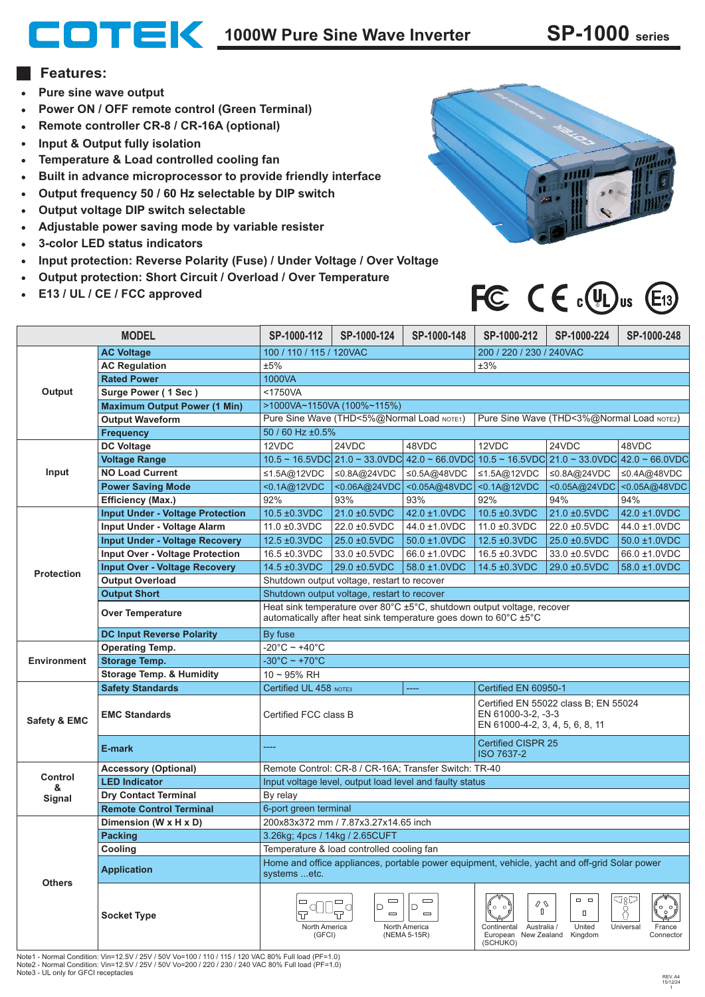## **1000W Pure Sine Wave Inverter SP-1000 series**

## **Features:**

- **Pure sine wave output**
- **Power ON / OFF remote control (Green Terminal)**
- **Remote controller CR-8 / CR-16A (optional)**
- **Input & Output fully isolation**
- **Temperature & Load controlled cooling fan**  $\bullet$
- **Built in advance microprocessor to provide friendly interface**  $\bullet$
- **Output frequency 50 / 60 Hz selectable by DIP switch**  $\bullet$
- **Output voltage DIP switch selectable**
- **Adjustable power saving mode by variable resister**  $\bullet$
- **3-color LED status indicators**  $\bullet$
- **Input protection: Reverse Polarity (Fuse) / Under Voltage / Over Voltage**  $\bullet$
- **Output protection: Short Circuit / Overload / Over Temperature**
- **E13 / UL / CE / FCC approved**



## FC  $C \in \mathbb{C}(\mathbb{R})$ us  $\mathbb{E}_1$ 3

| <b>MODEL</b>            |                                         | SP-1000-112                                                                                                                                                       | SP-1000-124                                                                                 | SP-1000-148                                                                                                                   | SP-1000-212                                                                                          | SP-1000-224                | SP-1000-248                             |
|-------------------------|-----------------------------------------|-------------------------------------------------------------------------------------------------------------------------------------------------------------------|---------------------------------------------------------------------------------------------|-------------------------------------------------------------------------------------------------------------------------------|------------------------------------------------------------------------------------------------------|----------------------------|-----------------------------------------|
| Output                  | <b>AC Voltage</b>                       | 100 / 110 / 115 / 120VAC                                                                                                                                          |                                                                                             |                                                                                                                               | 200 / 220 / 230 / 240VAC                                                                             |                            |                                         |
|                         | <b>AC Regulation</b>                    | ±5%<br>±3%                                                                                                                                                        |                                                                                             |                                                                                                                               |                                                                                                      |                            |                                         |
|                         | <b>Rated Power</b>                      | 1000VA                                                                                                                                                            |                                                                                             |                                                                                                                               |                                                                                                      |                            |                                         |
|                         | Surge Power (1 Sec)                     | <1750VA                                                                                                                                                           |                                                                                             |                                                                                                                               |                                                                                                      |                            |                                         |
|                         | <b>Maximum Output Power (1 Min)</b>     | >1000VA~1150VA (100%~115%)                                                                                                                                        |                                                                                             |                                                                                                                               |                                                                                                      |                            |                                         |
|                         | <b>Output Waveform</b>                  | Pure Sine Wave (THD<5%@Normal Load NOTE1)<br>Pure Sine Wave (THD<3%@Normal Load NOTE2)                                                                            |                                                                                             |                                                                                                                               |                                                                                                      |                            |                                         |
|                         | <b>Frequency</b>                        | 50 / 60 Hz ±0.5%                                                                                                                                                  |                                                                                             |                                                                                                                               |                                                                                                      |                            |                                         |
| Input                   | DC Voltage                              | 12VDC                                                                                                                                                             | 24VDC                                                                                       | 48VDC                                                                                                                         | 12VDC                                                                                                | 24VDC                      | 48VDC                                   |
|                         | <b>Voltage Range</b>                    |                                                                                                                                                                   |                                                                                             | $10.5 \sim 16.5$ VDC $21.0 \sim 33.0$ VDC $42.0 \sim 66.0$ VDC $10.5 \sim 16.5$ VDC $21.0 \sim 33.0$ VDC $42.0 \sim 66.0$ VDC |                                                                                                      |                            |                                         |
|                         | <b>NO Load Current</b>                  | ≤1.5A@12VDC                                                                                                                                                       | ≤0.8A@24VDC                                                                                 | ≤0.5A@48VDC                                                                                                                   | ≤1.5A@12VDC                                                                                          | ≤0.8A@24VDC                | ≤0.4A@48VDC                             |
|                         | <b>Power Saving Mode</b>                | <0.1A@12VDC                                                                                                                                                       |                                                                                             | <0.06A@24VDC <0.05A@48VDC                                                                                                     | <0.1A@12VDC                                                                                          |                            | <0.05A@24VDC <0.05A@48VDC               |
|                         | <b>Efficiency (Max.)</b>                | 92%                                                                                                                                                               | 93%                                                                                         | 93%                                                                                                                           | 92%                                                                                                  | 94%                        | 94%                                     |
| <b>Protection</b>       | <b>Input Under - Voltage Protection</b> | 10.5 ±0.3VDC                                                                                                                                                      | 21.0 ±0.5VDC                                                                                | 42.0 ±1.0VDC                                                                                                                  | 10.5 ±0.3VDC                                                                                         | 21.0 ±0.5VDC               | 42.0 ±1.0VDC                            |
|                         | Input Under - Voltage Alarm             | 11.0 ±0.3VDC                                                                                                                                                      | 22.0 ±0.5VDC                                                                                | 44.0 ±1.0VDC                                                                                                                  | 11.0 ±0.3VDC                                                                                         | 22.0 ±0.5VDC               | 44.0 ±1.0VDC                            |
|                         | <b>Input Under - Voltage Recovery</b>   | 12.5 ±0.3VDC                                                                                                                                                      | 25.0 ±0.5VDC                                                                                | 50.0 ±1.0VDC                                                                                                                  | 12.5 ±0.3VDC                                                                                         | 25.0 ±0.5VDC               | 50.0 ±1.0VDC                            |
|                         | <b>Input Over - Voltage Protection</b>  | 16.5 ±0.3VDC                                                                                                                                                      | 33.0 ±0.5VDC                                                                                | 66.0 ±1.0VDC                                                                                                                  | 16.5 ±0.3VDC                                                                                         | 33.0 ±0.5VDC               | 66.0 ±1.0VDC                            |
|                         | <b>Input Over - Voltage Recovery</b>    | 14.5 ±0.3VDC                                                                                                                                                      | 29.0 ±0.5VDC                                                                                | 58.0 ±1.0VDC                                                                                                                  | 14.5 ±0.3VDC                                                                                         | 29.0 ±0.5VDC               | 58.0 ±1.0VDC                            |
|                         | <b>Output Overload</b>                  | Shutdown output voltage, restart to recover                                                                                                                       |                                                                                             |                                                                                                                               |                                                                                                      |                            |                                         |
|                         | <b>Output Short</b>                     | Shutdown output voltage, restart to recover                                                                                                                       |                                                                                             |                                                                                                                               |                                                                                                      |                            |                                         |
|                         | <b>Over Temperature</b>                 | Heat sink temperature over 80°C ±5°C, shutdown output voltage, recover<br>automatically after heat sink temperature goes down to $60^{\circ}$ C $\pm 5^{\circ}$ C |                                                                                             |                                                                                                                               |                                                                                                      |                            |                                         |
|                         | <b>DC Input Reverse Polarity</b>        | By fuse                                                                                                                                                           |                                                                                             |                                                                                                                               |                                                                                                      |                            |                                         |
| <b>Environment</b>      | <b>Operating Temp.</b>                  | -20°C ~ +40°C                                                                                                                                                     |                                                                                             |                                                                                                                               |                                                                                                      |                            |                                         |
|                         | <b>Storage Temp.</b>                    | $-30^{\circ}$ C ~ +70 $^{\circ}$ C                                                                                                                                |                                                                                             |                                                                                                                               |                                                                                                      |                            |                                         |
|                         | <b>Storage Temp. &amp; Humidity</b>     | $10 - 95%$ RH                                                                                                                                                     |                                                                                             |                                                                                                                               |                                                                                                      |                            |                                         |
| <b>Safety &amp; EMC</b> | <b>Safety Standards</b>                 | Certified UL 458 NOTE3<br>----<br>Certified EN 60950-1                                                                                                            |                                                                                             |                                                                                                                               |                                                                                                      |                            |                                         |
|                         | <b>EMC Standards</b>                    | Certified FCC class B                                                                                                                                             |                                                                                             |                                                                                                                               | Certified EN 55022 class B; EN 55024<br>EN 61000-3-2, -3-3<br>EN 61000-4-2, 3, 4, 5, 6, 8, 11        |                            |                                         |
|                         | E-mark                                  | ----                                                                                                                                                              |                                                                                             |                                                                                                                               | <b>Certified CISPR 25</b><br><b>ISO 7637-2</b>                                                       |                            |                                         |
| Control                 | <b>Accessory (Optional)</b>             | Remote Control: CR-8 / CR-16A; Transfer Switch: TR-40                                                                                                             |                                                                                             |                                                                                                                               |                                                                                                      |                            |                                         |
| &                       | <b>LED Indicator</b>                    | Input voltage level, output load level and faulty status                                                                                                          |                                                                                             |                                                                                                                               |                                                                                                      |                            |                                         |
| Signal                  | <b>Dry Contact Terminal</b>             | By relay                                                                                                                                                          |                                                                                             |                                                                                                                               |                                                                                                      |                            |                                         |
|                         | <b>Remote Control Terminal</b>          | 6-port green terminal                                                                                                                                             |                                                                                             |                                                                                                                               |                                                                                                      |                            |                                         |
| <b>Others</b>           | Dimension (W x H x D)                   | 200x83x372 mm / 7.87x3.27x14.65 inch                                                                                                                              |                                                                                             |                                                                                                                               |                                                                                                      |                            |                                         |
|                         | <b>Packing</b>                          | 3.26kg; 4pcs / 14kg / 2.65CUFT                                                                                                                                    |                                                                                             |                                                                                                                               |                                                                                                      |                            |                                         |
|                         | Cooling                                 | Temperature & load controlled cooling fan                                                                                                                         |                                                                                             |                                                                                                                               |                                                                                                      |                            |                                         |
|                         | <b>Application</b>                      | Home and office appliances, portable power equipment, vehicle, yacht and off-grid Solar power<br>systems etc.                                                     |                                                                                             |                                                                                                                               |                                                                                                      |                            |                                         |
|                         | <b>Socket Type</b>                      | North America<br>(GFCI)                                                                                                                                           | $\qquad \qquad \blacksquare$<br>$\qquad \qquad \Box$<br>D<br>О<br>$\qquad \qquad \Box$<br>규 | $\qquad \qquad \blacksquare$<br>D<br>$\equiv$<br>North America<br>(NEMA 5-15R)                                                | Q<br>$\Omega$<br>$\mathbb{I}$<br>Continental Australia /<br>European New Zealand Kingdom<br>(SCHUKO) | $\Box$<br>$\Box$<br>United | ರ8ದ<br>Universal<br>France<br>Connector |

Note1 - Normal Condition: Vin=12.5V / 25V / 50V Vo=100 / 110 / 115 / 120 VAC 80% Full load (PF=1.0) Note2 - Normal Condition: Vin=12.5V / 25V / 50V Vo=200 / 220 / 230 / 240 VAC 80% Full load (PF=1.0) Note3 - UL only for GFCI receptacles